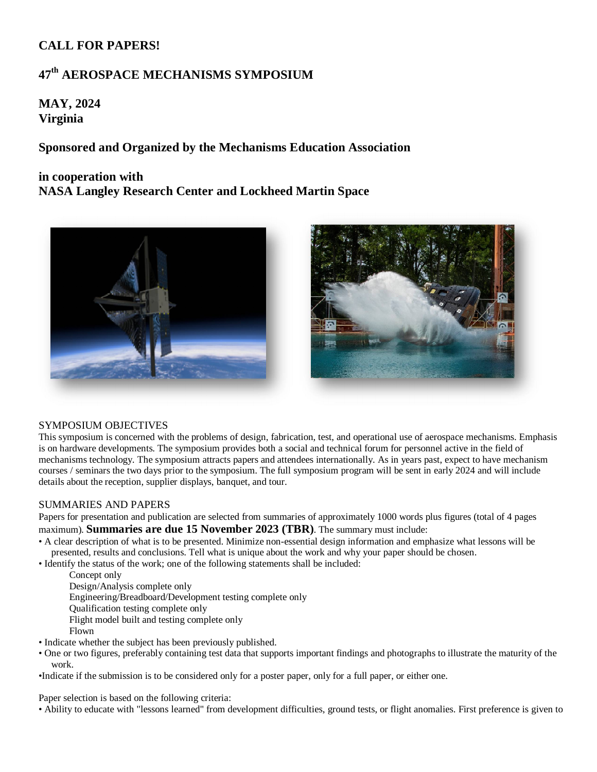## **CALL FOR PAPERS!**

# **47 th AEROSPACE MECHANISMS SYMPOSIUM**

**MAY, 2024 Virginia**

**Sponsored and Organized by the Mechanisms Education Association**

## **in cooperation with**

**NASA Langley Research Center and Lockheed Martin Space** 





### SYMPOSIUM OBJECTIVES

This symposium is concerned with the problems of design, fabrication, test, and operational use of aerospace mechanisms. Emphasis is on hardware developments. The symposium provides both a social and technical forum for personnel active in the field of mechanisms technology. The symposium attracts papers and attendees internationally. As in years past, expect to have mechanism courses / seminars the two days prior to the symposium. The full symposium program will be sent in early 2024 and will include details about the reception, supplier displays, banquet, and tour.

### SUMMARIES AND PAPERS

Papers for presentation and publication are selected from summaries of approximately 1000 words plus figures (total of 4 pages maximum). **Summaries are due 15 November 2023 (TBR)**. The summary must include:

- A clear description of what is to be presented. Minimize non-essential design information and emphasize what lessons will be presented, results and conclusions. Tell what is unique about the work and why your paper should be chosen.
- Identify the status of the work; one of the following statements shall be included:
	- Concept only
	- Design/Analysis complete only
	- Engineering/Breadboard/Development testing complete only
	- Qualification testing complete only
	- Flight model built and testing complete only
	- Flown
- Indicate whether the subject has been previously published.
- One or two figures, preferably containing test data that supports important findings and photographs to illustrate the maturity of the work.
- •Indicate if the submission is to be considered only for a poster paper, only for a full paper, or either one.

Paper selection is based on the following criteria:

• Ability to educate with "lessons learned" from development difficulties, ground tests, or flight anomalies. First preference is given to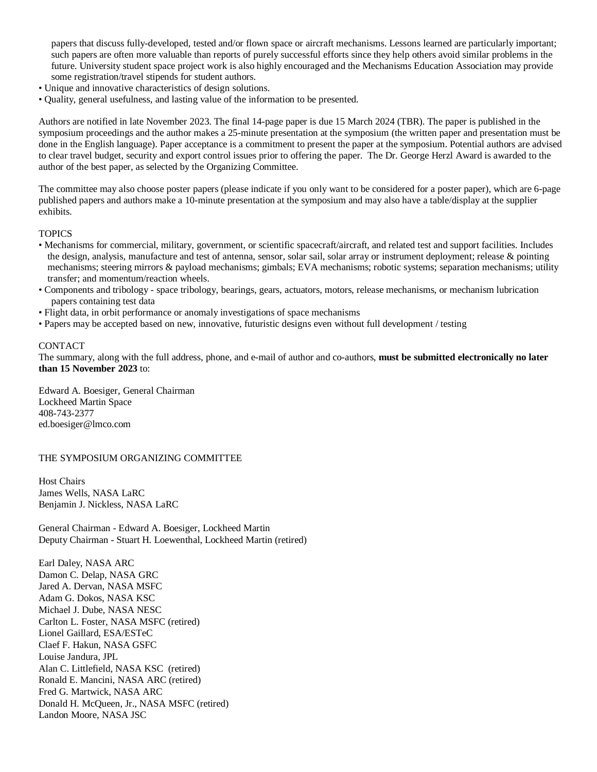papers that discuss fully-developed, tested and/or flown space or aircraft mechanisms. Lessons learned are particularly important; such papers are often more valuable than reports of purely successful efforts since they help others avoid similar problems in the future. University student space project work is also highly encouraged and the Mechanisms Education Association may provide some registration/travel stipends for student authors.

- Unique and innovative characteristics of design solutions.
- Quality, general usefulness, and lasting value of the information to be presented.

Authors are notified in late November 2023. The final 14-page paper is due 15 March 2024 (TBR). The paper is published in the symposium proceedings and the author makes a 25-minute presentation at the symposium (the written paper and presentation must be done in the English language). Paper acceptance is a commitment to present the paper at the symposium. Potential authors are advised to clear travel budget, security and export control issues prior to offering the paper. The Dr. George Herzl Award is awarded to the author of the best paper, as selected by the Organizing Committee.

The committee may also choose poster papers (please indicate if you only want to be considered for a poster paper), which are 6-page published papers and authors make a 10-minute presentation at the symposium and may also have a table/display at the supplier exhibits.

#### **TOPICS**

- Mechanisms for commercial, military, government, or scientific spacecraft/aircraft, and related test and support facilities. Includes the design, analysis, manufacture and test of antenna, sensor, solar sail, solar array or instrument deployment; release & pointing mechanisms; steering mirrors & payload mechanisms; gimbals; EVA mechanisms; robotic systems; separation mechanisms; utility transfer; and momentum/reaction wheels.
- Components and tribology space tribology, bearings, gears, actuators, motors, release mechanisms, or mechanism lubrication papers containing test data
- Flight data, in orbit performance or anomaly investigations of space mechanisms
- Papers may be accepted based on new, innovative, futuristic designs even without full development / testing

#### CONTACT

The summary, along with the full address, phone, and e-mail of author and co-authors, **must be submitted electronically no later than 15 November 2023** to:

Edward A. Boesiger, General Chairman Lockheed Martin Space 408-743-2377 [ed.boesiger@lmco.com](mailto:ed.boesiger@lmco.com)

THE SYMPOSIUM ORGANIZING COMMITTEE

Host Chairs James Wells, NASA LaRC Benjamin J. Nickless, NASA LaRC

General Chairman - Edward A. Boesiger, Lockheed Martin Deputy Chairman - Stuart H. Loewenthal, Lockheed Martin (retired)

Earl Daley, NASA ARC Damon C. Delap, NASA GRC Jared A. Dervan, NASA MSFC Adam G. Dokos, NASA KSC Michael J. Dube, NASA NESC Carlton L. Foster, NASA MSFC (retired) Lionel Gaillard, ESA/ESTeC Claef F. Hakun, NASA GSFC Louise Jandura, JPL Alan C. Littlefield, NASA KSC (retired) Ronald E. Mancini, NASA ARC (retired) Fred G. Martwick, NASA ARC Donald H. McQueen, Jr., NASA MSFC (retired) Landon Moore, NASA JSC